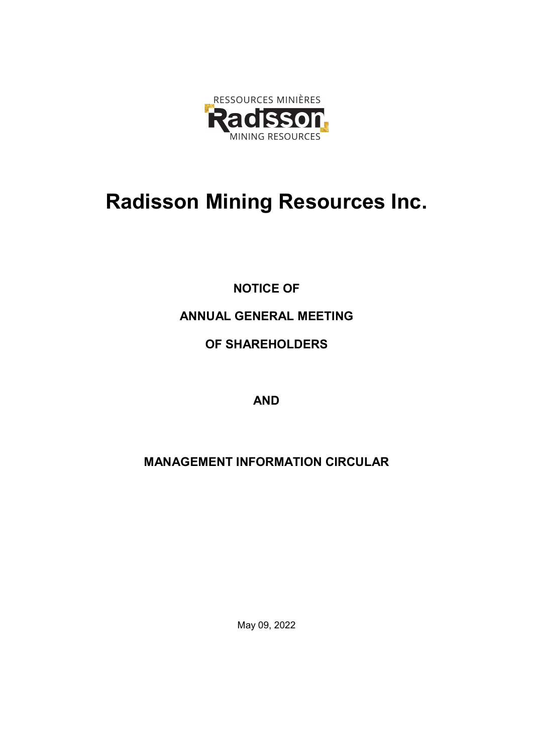

# Radisson Mining Resources Inc.

NOTICE OF ANNUAL GENERAL MEETING OF SHAREHOLDERS

AND

MANAGEMENT INFORMATION CIRCULAR

May 09, 2022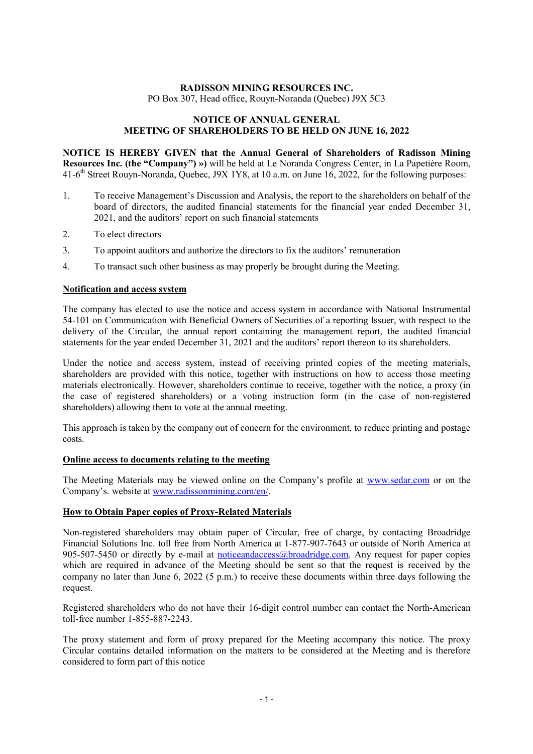# RADISSON MINING RESOURCES INC. PO Box 307, Head office, Rouyn-Noranda (Quebec) J9X 5C3

# NOTICE OF ANNUAL GENERAL MEETING OF SHAREHOLDERS TO BE HELD ON JUNE 16, 2022

NOTICE IS HEREBY GIVEN that the Annual General of Shareholders of Radisson Mining Resources Inc. (the "Company") ») will be held at Le Noranda Congress Center, in La Papetière Room, 41-6<sup>th</sup> Street Rouyn-Noranda, Quebec, J9X 1Y8, at 10 a.m. on June 16, 2022, for the following purposes:

- 1. To receive Management's Discussion and Analysis, the report to the shareholders on behalf of the board of directors, the audited financial statements for the financial year ended December 31, 2021, and the auditors' report on such financial statements
- 2. To elect directors
- 3. To appoint auditors and authorize the directors to fix the auditors' remuneration
- 4. To transact such other business as may properly be brought during the Meeting.

# Notification and access system

The company has elected to use the notice and access system in accordance with National Instrumental 54-101 on Communication with Beneficial Owners of Securities of a reporting Issuer, with respect to the delivery of the Circular, the annual report containing the management report, the audited financial statements for the year ended December 31, 2021 and the auditors' report thereon to its shareholders.

Under the notice and access system, instead of receiving printed copies of the meeting materials, shareholders are provided with this notice, together with instructions on how to access those meeting materials electronically. However, shareholders continue to receive, together with the notice, a proxy (in the case of registered shareholders) or a voting instruction form (in the case of non-registered shareholders) allowing them to vote at the annual meeting.

This approach is taken by the company out of concern for the environment, to reduce printing and postage costs.

## Online access to documents relating to the meeting

The Meeting Materials may be viewed online on the Company's profile at www.sedar.com or on the Company's. website at www.radissonmining.com/en/.

## How to Obtain Paper copies of Proxy-Related Materials

Non-registered shareholders may obtain paper of Circular, free of charge, by contacting Broadridge Financial Solutions Inc. toll free from North America at 1-877-907-7643 or outside of North America at 905-507-5450 or directly by e-mail at noticeandaccess@broadridge.com. Any request for paper copies which are required in advance of the Meeting should be sent so that the request is received by the company no later than June 6, 2022 (5 p.m.) to receive these documents within three days following the request.

Registered shareholders who do not have their 16-digit control number can contact the North-American toll-free number 1-855-887-2243.

The proxy statement and form of proxy prepared for the Meeting accompany this notice. The proxy Circular contains detailed information on the matters to be considered at the Meeting and is therefore considered to form part of this notice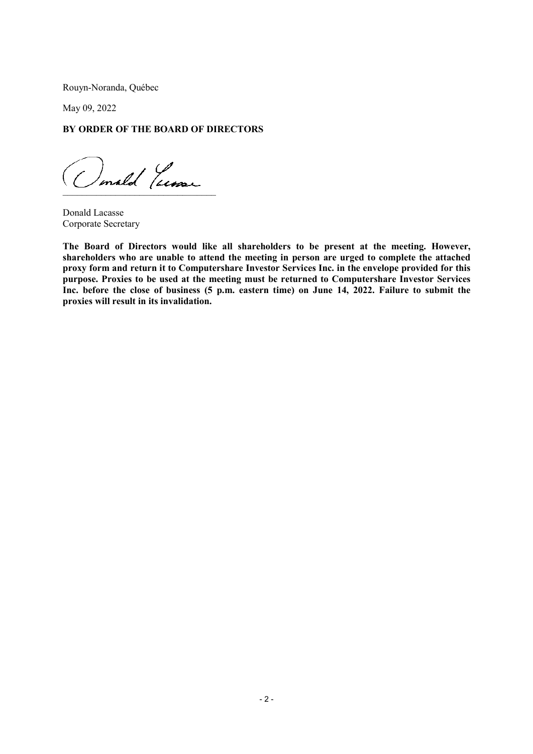Rouyn-Noranda, Québec

May 09, 2022

# BY ORDER OF THE BOARD OF DIRECTORS

 $($ rign $)$ \_\_\_\_\_\_\_\_\_\_\_\_\_\_\_\_\_\_\_\_\_\_\_\_\_\_\_\_\_\_\_\_

Donald Lacasse Corporate Secretary

The Board of Directors would like all shareholders to be present at the meeting. However, shareholders who are unable to attend the meeting in person are urged to complete the attached proxy form and return it to Computershare Investor Services Inc. in the envelope provided for this purpose. Proxies to be used at the meeting must be returned to Computershare Investor Services Inc. before the close of business (5 p.m. eastern time) on June 14, 2022. Failure to submit the proxies will result in its invalidation.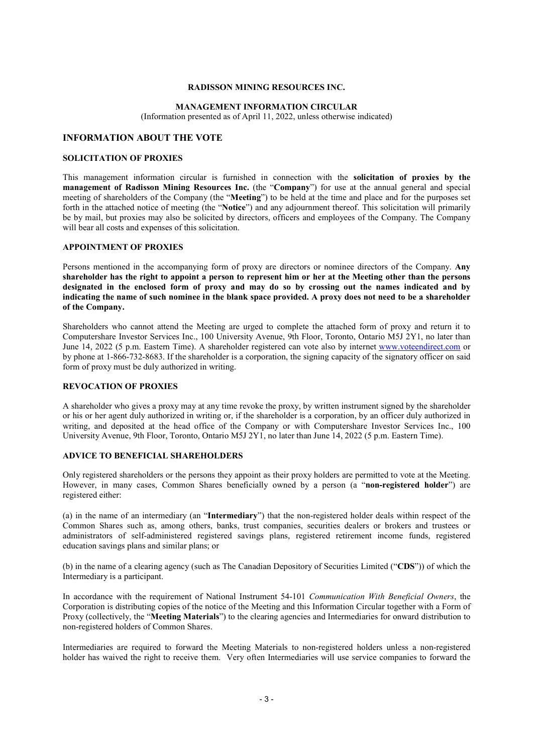## RADISSON MINING RESOURCES INC.

## MANAGEMENT INFORMATION CIRCULAR

(Information presented as of April 11, 2022, unless otherwise indicated)

## INFORMATION ABOUT THE VOTE

#### SOLICITATION OF PROXIES

This management information circular is furnished in connection with the solicitation of proxies by the management of Radisson Mining Resources Inc. (the "Company") for use at the annual general and special meeting of shareholders of the Company (the "Meeting") to be held at the time and place and for the purposes set forth in the attached notice of meeting (the "Notice") and any adjournment thereof. This solicitation will primarily be by mail, but proxies may also be solicited by directors, officers and employees of the Company. The Company will bear all costs and expenses of this solicitation.

## APPOINTMENT OF PROXIES

Persons mentioned in the accompanying form of proxy are directors or nominee directors of the Company. Any shareholder has the right to appoint a person to represent him or her at the Meeting other than the persons designated in the enclosed form of proxy and may do so by crossing out the names indicated and by indicating the name of such nominee in the blank space provided. A proxy does not need to be a shareholder of the Company.

Shareholders who cannot attend the Meeting are urged to complete the attached form of proxy and return it to Computershare Investor Services Inc., 100 University Avenue, 9th Floor, Toronto, Ontario M5J 2Y1, no later than June 14, 2022 (5 p.m. Eastern Time). A shareholder registered can vote also by internet www.voteendirect.com or by phone at 1-866-732-8683. If the shareholder is a corporation, the signing capacity of the signatory officer on said form of proxy must be duly authorized in writing.

## REVOCATION OF PROXIES

A shareholder who gives a proxy may at any time revoke the proxy, by written instrument signed by the shareholder or his or her agent duly authorized in writing or, if the shareholder is a corporation, by an officer duly authorized in writing, and deposited at the head office of the Company or with Computershare Investor Services Inc., 100 University Avenue, 9th Floor, Toronto, Ontario M5J 2Y1, no later than June 14, 2022 (5 p.m. Eastern Time).

# ADVICE TO BENEFICIAL SHAREHOLDERS

Only registered shareholders or the persons they appoint as their proxy holders are permitted to vote at the Meeting. However, in many cases, Common Shares beneficially owned by a person (a "non-registered holder") are registered either:

(a) in the name of an intermediary (an "Intermediary") that the non-registered holder deals within respect of the Common Shares such as, among others, banks, trust companies, securities dealers or brokers and trustees or administrators of self-administered registered savings plans, registered retirement income funds, registered education savings plans and similar plans; or

(b) in the name of a clearing agency (such as The Canadian Depository of Securities Limited ("CDS")) of which the Intermediary is a participant.

In accordance with the requirement of National Instrument 54-101 Communication With Beneficial Owners, the Corporation is distributing copies of the notice of the Meeting and this Information Circular together with a Form of Proxy (collectively, the "Meeting Materials") to the clearing agencies and Intermediaries for onward distribution to non-registered holders of Common Shares.

Intermediaries are required to forward the Meeting Materials to non-registered holders unless a non-registered holder has waived the right to receive them. Very often Intermediaries will use service companies to forward the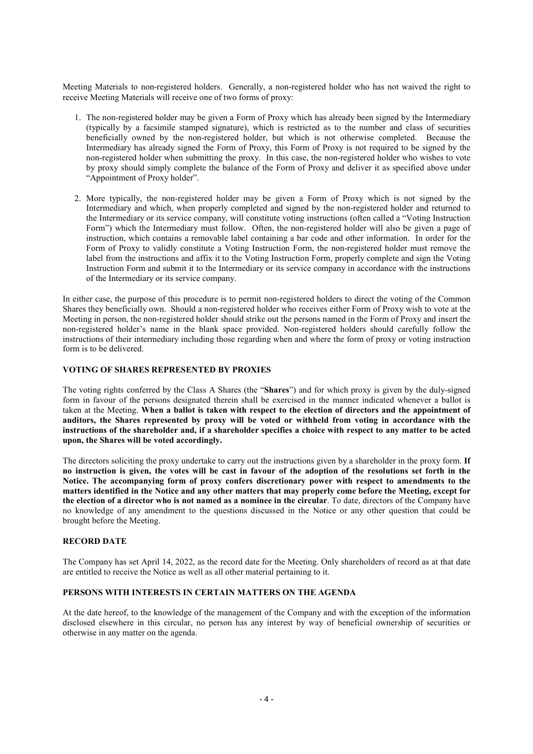Meeting Materials to non-registered holders. Generally, a non-registered holder who has not waived the right to receive Meeting Materials will receive one of two forms of proxy:

- 1. The non-registered holder may be given a Form of Proxy which has already been signed by the Intermediary (typically by a facsimile stamped signature), which is restricted as to the number and class of securities beneficially owned by the non-registered holder, but which is not otherwise completed. Because the Intermediary has already signed the Form of Proxy, this Form of Proxy is not required to be signed by the non-registered holder when submitting the proxy. In this case, the non-registered holder who wishes to vote by proxy should simply complete the balance of the Form of Proxy and deliver it as specified above under "Appointment of Proxy holder".
- 2. More typically, the non-registered holder may be given a Form of Proxy which is not signed by the Intermediary and which, when properly completed and signed by the non-registered holder and returned to the Intermediary or its service company, will constitute voting instructions (often called a "Voting Instruction Form") which the Intermediary must follow. Often, the non-registered holder will also be given a page of instruction, which contains a removable label containing a bar code and other information. In order for the Form of Proxy to validly constitute a Voting Instruction Form, the non-registered holder must remove the label from the instructions and affix it to the Voting Instruction Form, properly complete and sign the Voting Instruction Form and submit it to the Intermediary or its service company in accordance with the instructions of the Intermediary or its service company.

In either case, the purpose of this procedure is to permit non-registered holders to direct the voting of the Common Shares they beneficially own. Should a non-registered holder who receives either Form of Proxy wish to vote at the Meeting in person, the non-registered holder should strike out the persons named in the Form of Proxy and insert the non-registered holder's name in the blank space provided. Non-registered holders should carefully follow the instructions of their intermediary including those regarding when and where the form of proxy or voting instruction form is to be delivered.

## VOTING OF SHARES REPRESENTED BY PROXIES

The voting rights conferred by the Class A Shares (the "Shares") and for which proxy is given by the duly-signed form in favour of the persons designated therein shall be exercised in the manner indicated whenever a ballot is taken at the Meeting. When a ballot is taken with respect to the election of directors and the appointment of auditors, the Shares represented by proxy will be voted or withheld from voting in accordance with the instructions of the shareholder and, if a shareholder specifies a choice with respect to any matter to be acted upon, the Shares will be voted accordingly.

The directors soliciting the proxy undertake to carry out the instructions given by a shareholder in the proxy form. If no instruction is given, the votes will be cast in favour of the adoption of the resolutions set forth in the Notice. The accompanying form of proxy confers discretionary power with respect to amendments to the matters identified in the Notice and any other matters that may properly come before the Meeting, except for the election of a director who is not named as a nominee in the circular. To date, directors of the Company have no knowledge of any amendment to the questions discussed in the Notice or any other question that could be brought before the Meeting.

## RECORD DATE

The Company has set April 14, 2022, as the record date for the Meeting. Only shareholders of record as at that date are entitled to receive the Notice as well as all other material pertaining to it.

## PERSONS WITH INTERESTS IN CERTAIN MATTERS ON THE AGENDA

At the date hereof, to the knowledge of the management of the Company and with the exception of the information disclosed elsewhere in this circular, no person has any interest by way of beneficial ownership of securities or otherwise in any matter on the agenda.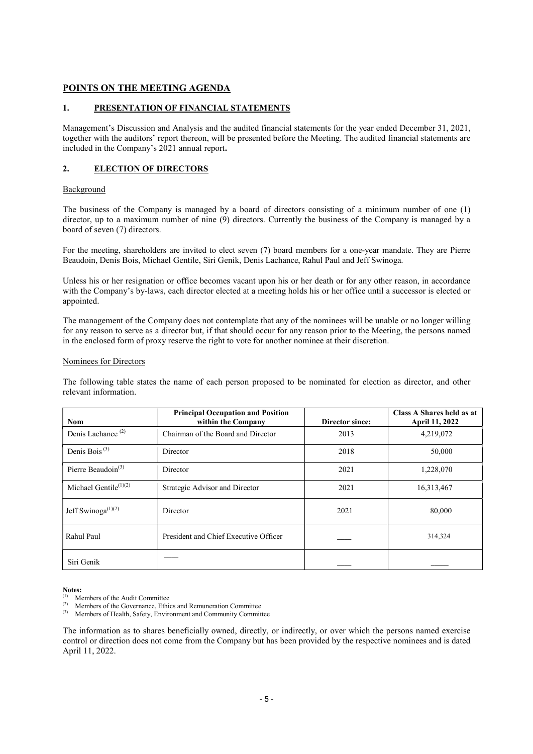# POINTS ON THE MEETING AGENDA

# 1. PRESENTATION OF FINANCIAL STATEMENTS

Management's Discussion and Analysis and the audited financial statements for the year ended December 31, 2021, together with the auditors' report thereon, will be presented before the Meeting. The audited financial statements are included in the Company's 2021 annual report.

# 2. ELECTION OF DIRECTORS

## **Background**

The business of the Company is managed by a board of directors consisting of a minimum number of one (1) director, up to a maximum number of nine (9) directors. Currently the business of the Company is managed by a board of seven (7) directors.

For the meeting, shareholders are invited to elect seven (7) board members for a one-year mandate. They are Pierre Beaudoin, Denis Bois, Michael Gentile, Siri Genik, Denis Lachance, Rahul Paul and Jeff Swinoga.

Unless his or her resignation or office becomes vacant upon his or her death or for any other reason, in accordance with the Company's by-laws, each director elected at a meeting holds his or her office until a successor is elected or appointed.

The management of the Company does not contemplate that any of the nominees will be unable or no longer willing for any reason to serve as a director but, if that should occur for any reason prior to the Meeting, the persons named in the enclosed form of proxy reserve the right to vote for another nominee at their discretion.

## Nominees for Directors

The following table states the name of each person proposed to be nominated for election as director, and other relevant information.

| <b>Nom</b>                                  | <b>Principal Occupation and Position</b><br>within the Company | Director since: | Class A Shares held as at<br><b>April 11, 2022</b> |
|---------------------------------------------|----------------------------------------------------------------|-----------------|----------------------------------------------------|
| Denis Lachance <sup>(2)</sup>               | Chairman of the Board and Director                             | 2013            | 4,219,072                                          |
| Denis Bois <sup>(3)</sup>                   | Director                                                       | 2018            | 50,000                                             |
| Pierre Beaudoin <sup>(3)</sup>              | Director                                                       | 2021            | 1,228,070                                          |
| Michael Gentile <sup>(1)(2)</sup>           | Strategic Advisor and Director                                 | 2021            | 16,313,467                                         |
| Jeff Swinoga <sup><math>(1)(2)</math></sup> | Director                                                       | 2021            | 80,000                                             |
| Rahul Paul                                  | President and Chief Executive Officer                          |                 | 314,324                                            |
| Siri Genik                                  |                                                                |                 |                                                    |

Notes:

(2) Members of the Governance, Ethics and Remuneration Committee<br>
(3) Mombors of Hoalth, Sofaty, Environment and Community Commit

Members of Health, Safety, Environment and Community Committee

The information as to shares beneficially owned, directly, or indirectly, or over which the persons named exercise control or direction does not come from the Company but has been provided by the respective nominees and is dated April 11, 2022.

 $(1)$  Members of the Audit Committee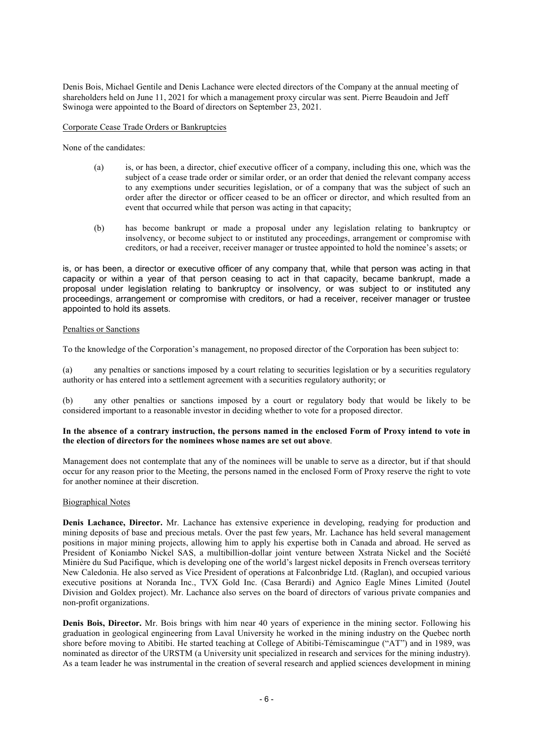Denis Bois, Michael Gentile and Denis Lachance were elected directors of the Company at the annual meeting of shareholders held on June 11, 2021 for which a management proxy circular was sent. Pierre Beaudoin and Jeff Swinoga were appointed to the Board of directors on September 23, 2021.

## Corporate Cease Trade Orders or Bankruptcies

None of the candidates:

- (a) is, or has been, a director, chief executive officer of a company, including this one, which was the subject of a cease trade order or similar order, or an order that denied the relevant company access to any exemptions under securities legislation, or of a company that was the subject of such an order after the director or officer ceased to be an officer or director, and which resulted from an event that occurred while that person was acting in that capacity;
- (b) has become bankrupt or made a proposal under any legislation relating to bankruptcy or insolvency, or become subject to or instituted any proceedings, arrangement or compromise with creditors, or had a receiver, receiver manager or trustee appointed to hold the nominee's assets; or

is, or has been, a director or executive officer of any company that, while that person was acting in that capacity or within a year of that person ceasing to act in that capacity, became bankrupt, made a proposal under legislation relating to bankruptcy or insolvency, or was subject to or instituted any proceedings, arrangement or compromise with creditors, or had a receiver, receiver manager or trustee appointed to hold its assets.

# Penalties or Sanctions

To the knowledge of the Corporation's management, no proposed director of the Corporation has been subject to:

(a) any penalties or sanctions imposed by a court relating to securities legislation or by a securities regulatory authority or has entered into a settlement agreement with a securities regulatory authority; or

(b) any other penalties or sanctions imposed by a court or regulatory body that would be likely to be considered important to a reasonable investor in deciding whether to vote for a proposed director.

## In the absence of a contrary instruction, the persons named in the enclosed Form of Proxy intend to vote in the election of directors for the nominees whose names are set out above.

Management does not contemplate that any of the nominees will be unable to serve as a director, but if that should occur for any reason prior to the Meeting, the persons named in the enclosed Form of Proxy reserve the right to vote for another nominee at their discretion.

## Biographical Notes

Denis Lachance, Director. Mr. Lachance has extensive experience in developing, readying for production and mining deposits of base and precious metals. Over the past few years, Mr. Lachance has held several management positions in major mining projects, allowing him to apply his expertise both in Canada and abroad. He served as President of Koniambo Nickel SAS, a multibillion-dollar joint venture between Xstrata Nickel and the Société Minière du Sud Pacifique, which is developing one of the world's largest nickel deposits in French overseas territory New Caledonia. He also served as Vice President of operations at Falconbridge Ltd. (Raglan), and occupied various executive positions at Noranda Inc., TVX Gold Inc. (Casa Berardi) and Agnico Eagle Mines Limited (Joutel Division and Goldex project). Mr. Lachance also serves on the board of directors of various private companies and non-profit organizations.

Denis Bois, Director. Mr. Bois brings with him near 40 years of experience in the mining sector. Following his graduation in geological engineering from Laval University he worked in the mining industry on the Quebec north shore before moving to Abitibi. He started teaching at College of Abitibi-Témiscamingue ("AT") and in 1989, was nominated as director of the URSTM (a University unit specialized in research and services for the mining industry). As a team leader he was instrumental in the creation of several research and applied sciences development in mining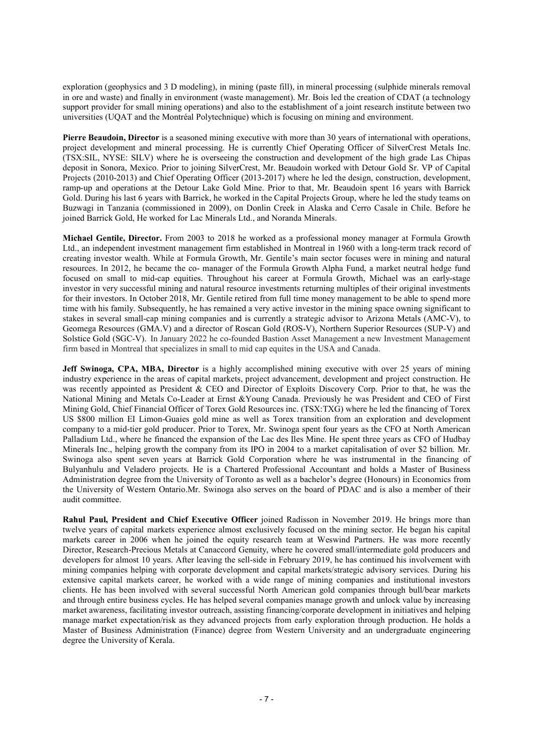exploration (geophysics and 3 D modeling), in mining (paste fill), in mineral processing (sulphide minerals removal in ore and waste) and finally in environment (waste management). Mr. Bois led the creation of CDAT (a technology support provider for small mining operations) and also to the establishment of a joint research institute between two universities (UQAT and the Montréal Polytechnique) which is focusing on mining and environment.

Pierre Beaudoin, Director is a seasoned mining executive with more than 30 years of international with operations, project development and mineral processing. He is currently Chief Operating Officer of SilverCrest Metals Inc. (TSX:SIL, NYSE: SILV) where he is overseeing the construction and development of the high grade Las Chipas deposit in Sonora, Mexico. Prior to joining SilverCrest, Mr. Beaudoin worked with Detour Gold Sr. VP of Capital Projects (2010-2013) and Chief Operating Officer (2013-2017) where he led the design, construction, development, ramp-up and operations at the Detour Lake Gold Mine. Prior to that, Mr. Beaudoin spent 16 years with Barrick Gold. During his last 6 years with Barrick, he worked in the Capital Projects Group, where he led the study teams on Buzwagi in Tanzania (commissioned in 2009), on Donlin Creek in Alaska and Cerro Casale in Chile. Before he joined Barrick Gold, He worked for Lac Minerals Ltd., and Noranda Minerals.

Michael Gentile, Director. From 2003 to 2018 he worked as a professional money manager at Formula Growth Ltd., an independent investment management firm established in Montreal in 1960 with a long-term track record of creating investor wealth. While at Formula Growth, Mr. Gentile's main sector focuses were in mining and natural resources. In 2012, he became the co- manager of the Formula Growth Alpha Fund, a market neutral hedge fund focused on small to mid-cap equities. Throughout his career at Formula Growth, Michael was an early-stage investor in very successful mining and natural resource investments returning multiples of their original investments for their investors. In October 2018, Mr. Gentile retired from full time money management to be able to spend more time with his family. Subsequently, he has remained a very active investor in the mining space owning significant to stakes in several small-cap mining companies and is currently a strategic advisor to Arizona Metals (AMC-V), to Geomega Resources (GMA.V) and a director of Roscan Gold (ROS-V), Northern Superior Resources (SUP-V) and Solstice Gold (SGC-V). In January 2022 he co-founded Bastion Asset Management a new Investment Management firm based in Montreal that specializes in small to mid cap equites in the USA and Canada.

Jeff Swinoga, CPA, MBA, Director is a highly accomplished mining executive with over 25 years of mining industry experience in the areas of capital markets, project advancement, development and project construction. He was recently appointed as President & CEO and Director of Exploits Discovery Corp. Prior to that, he was the National Mining and Metals Co-Leader at Ernst &Young Canada. Previously he was President and CEO of First Mining Gold, Chief Financial Officer of Torex Gold Resources inc. (TSX:TXG) where he led the financing of Torex US \$800 million EI Limon-Guaies gold mine as well as Torex transition from an exploration and development company to a mid-tier gold producer. Prior to Torex, Mr. Swinoga spent four years as the CFO at North American Palladium Ltd., where he financed the expansion of the Lac des Iles Mine. He spent three years as CFO of Hudbay Minerals Inc., helping growth the company from its IPO in 2004 to a market capitalisation of over \$2 billion. Mr. Swinoga also spent seven years at Barrick Gold Corporation where he was instrumental in the financing of Bulyanhulu and Veladero projects. He is a Chartered Professional Accountant and holds a Master of Business Administration degree from the University of Toronto as well as a bachelor's degree (Honours) in Economics from the University of Western Ontario.Mr. Swinoga also serves on the board of PDAC and is also a member of their audit committee.

Rahul Paul, President and Chief Executive Officer joined Radisson in November 2019. He brings more than twelve years of capital markets experience almost exclusively focused on the mining sector. He began his capital markets career in 2006 when he joined the equity research team at Weswind Partners. He was more recently Director, Research-Precious Metals at Canaccord Genuity, where he covered small/intermediate gold producers and developers for almost 10 years. After leaving the sell-side in February 2019, he has continued his involvement with mining companies helping with corporate development and capital markets/strategic advisory services. During his extensive capital markets career, he worked with a wide range of mining companies and institutional investors clients. He has been involved with several successful North American gold companies through bull/bear markets and through entire business cycles. He has helped several companies manage growth and unlock value by increasing market awareness, facilitating investor outreach, assisting financing/corporate development in initiatives and helping manage market expectation/risk as they advanced projects from early exploration through production. He holds a Master of Business Administration (Finance) degree from Western University and an undergraduate engineering degree the University of Kerala.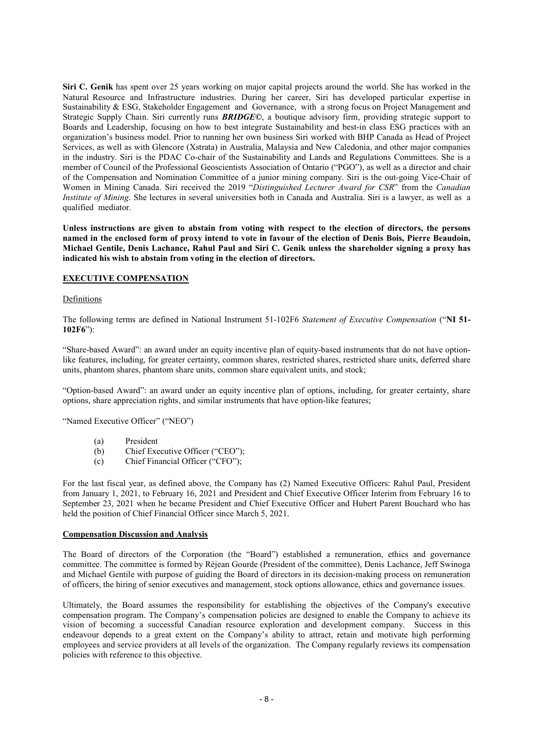Siri C. Genik has spent over 25 years working on major capital projects around the world. She has worked in the Natural Resource and Infrastructure industries. During her career, Siri has developed particular expertise in Sustainability & ESG, Stakeholder Engagement and Governance, with a strong focus on Project Management and Strategic Supply Chain. Siri currently runs **BRIDGE**©, a boutique advisory firm, providing strategic support to Boards and Leadership, focusing on how to best integrate Sustainability and best-in class ESG practices with an organization's business model. Prior to running her own business Siri worked with BHP Canada as Head of Project Services, as well as with Glencore (Xstrata) in Australia, Malaysia and New Caledonia, and other major companies in the industry. Siri is the PDAC Co-chair of the Sustainability and Lands and Regulations Committees. She is a member of Council of the Professional Geoscientists Association of Ontario ("PGO"), as well as a director and chair of the Compensation and Nomination Committee of a junior mining company. Siri is the out-going Vice-Chair of Women in Mining Canada. Siri received the 2019 "Distinguished Lecturer Award for CSR" from the Canadian Institute of Mining. She lectures in several universities both in Canada and Australia. Siri is a lawyer, as well as a qualified mediator.

Unless instructions are given to abstain from voting with respect to the election of directors, the persons named in the enclosed form of proxy intend to vote in favour of the election of Denis Bois, Pierre Beaudoin, Michael Gentile, Denis Lachance, Rahul Paul and Siri C. Genik unless the shareholder signing a proxy has indicated his wish to abstain from voting in the election of directors.

## EXECUTIVE COMPENSATION

## Definitions

The following terms are defined in National Instrument 51-102F6 Statement of Executive Compensation ("NI 51- 102F6"):

"Share-based Award": an award under an equity incentive plan of equity-based instruments that do not have optionlike features, including, for greater certainty, common shares, restricted shares, restricted share units, deferred share units, phantom shares, phantom share units, common share equivalent units, and stock;

"Option-based Award": an award under an equity incentive plan of options, including, for greater certainty, share options, share appreciation rights, and similar instruments that have option-like features;

"Named Executive Officer" ("NEO")

- (a) President
- (b) Chief Executive Officer ("CEO");
- (c) Chief Financial Officer ("CFO");

For the last fiscal year, as defined above, the Company has (2) Named Executive Officers: Rahul Paul, President from January 1, 2021, to February 16, 2021 and President and Chief Executive Officer Interim from February 16 to September 23, 2021 when he became President and Chief Executive Officer and Hubert Parent Bouchard who has held the position of Chief Financial Officer since March 5, 2021.

## Compensation Discussion and Analysis

The Board of directors of the Corporation (the "Board") established a remuneration, ethics and governance committee. The committee is formed by Réjean Gourde (President of the committee), Denis Lachance, Jeff Swinoga and Michael Gentile with purpose of guiding the Board of directors in its decision-making process on remuneration of officers, the hiring of senior executives and management, stock options allowance, ethics and governance issues.

Ultimately, the Board assumes the responsibility for establishing the objectives of the Company's executive compensation program. The Company's compensation policies are designed to enable the Company to achieve its vision of becoming a successful Canadian resource exploration and development company. Success in this endeavour depends to a great extent on the Company's ability to attract, retain and motivate high performing employees and service providers at all levels of the organization. The Company regularly reviews its compensation policies with reference to this objective.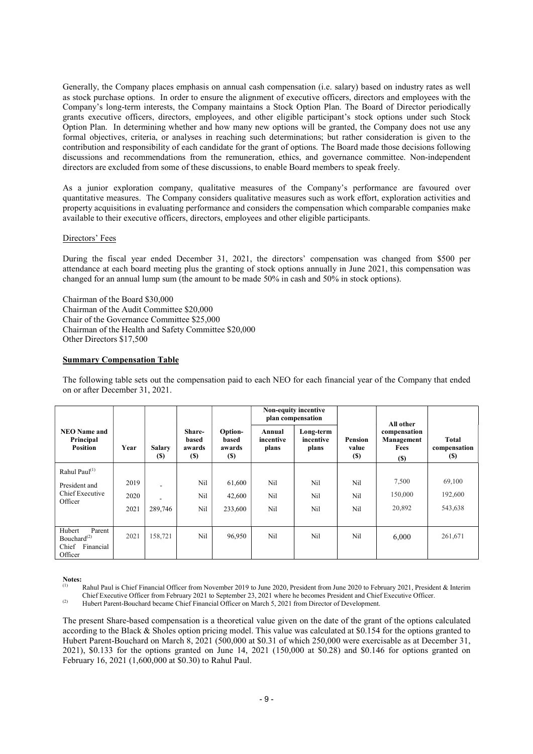Generally, the Company places emphasis on annual cash compensation (i.e. salary) based on industry rates as well as stock purchase options. In order to ensure the alignment of executive officers, directors and employees with the Company's long-term interests, the Company maintains a Stock Option Plan. The Board of Director periodically grants executive officers, directors, employees, and other eligible participant's stock options under such Stock Option Plan. In determining whether and how many new options will be granted, the Company does not use any formal objectives, criteria, or analyses in reaching such determinations; but rather consideration is given to the contribution and responsibility of each candidate for the grant of options. The Board made those decisions following discussions and recommendations from the remuneration, ethics, and governance committee. Non-independent directors are excluded from some of these discussions, to enable Board members to speak freely.

As a junior exploration company, qualitative measures of the Company's performance are favoured over quantitative measures. The Company considers qualitative measures such as work effort, exploration activities and property acquisitions in evaluating performance and considers the compensation which comparable companies make available to their executive officers, directors, employees and other eligible participants.

## Directors' Fees

During the fiscal year ended December 31, 2021, the directors' compensation was changed from \$500 per attendance at each board meeting plus the granting of stock options annually in June 2021, this compensation was changed for an annual lump sum (the amount to be made 50% in cash and 50% in stock options).

Chairman of the Board \$30,000 Chairman of the Audit Committee \$20,000 Chair of the Governance Committee \$25,000 Chairman of the Health and Safety Committee \$20,000 Other Directors \$17,500

## Summary Compensation Table

The following table sets out the compensation paid to each NEO for each financial year of the Company that ended on or after December 31, 2021.

|                                                                                        |      |                      |                                          |                                   |                              | <b>Non-equity incentive</b><br>plan compensation |                                 | All other                                         |                                            |
|----------------------------------------------------------------------------------------|------|----------------------|------------------------------------------|-----------------------------------|------------------------------|--------------------------------------------------|---------------------------------|---------------------------------------------------|--------------------------------------------|
| <b>NEO Name and</b><br>Principal<br><b>Position</b>                                    | Year | <b>Salary</b><br>(S) | Share-<br>based<br>awards<br><b>(\$)</b> | Option-<br>based<br>awards<br>(S) | Annual<br>incentive<br>plans | Long-term<br>incentive<br>plans                  | Pension<br>value<br><b>(\$)</b> | compensation<br>Management<br>Fees<br><b>(\$)</b> | <b>Total</b><br>compensation<br><b>(S)</b> |
| Rahul Paul <sup>(1)</sup>                                                              |      |                      |                                          |                                   |                              |                                                  |                                 |                                                   |                                            |
| President and                                                                          | 2019 |                      | Nil                                      | 61,600                            | Nil                          | Nil                                              | Nil                             | 7,500                                             | 69,100                                     |
| Chief Executive<br>Officer                                                             | 2020 |                      | Nil                                      | 42,600                            | Nil                          | Nil                                              | Nil                             | 150,000                                           | 192,600                                    |
|                                                                                        | 2021 | 289,746              | Nil                                      | 233,600                           | Nil                          | Nil                                              | Nil                             | 20,892                                            | 543,638                                    |
|                                                                                        |      |                      |                                          |                                   |                              |                                                  |                                 |                                                   |                                            |
| Hubert<br>Parent<br>Bouchard <sup><math>(2)</math></sup><br>Chief Financial<br>Officer | 2021 | 158,721              | Nil                                      | 96,950                            | Nil                          | Nil                                              | Nil                             | 6,000                                             | 261,671                                    |

# Notes:

Rahul Paul is Chief Financial Officer from November 2019 to June 2020, President from June 2020 to February 2021, President & Interim Chief Executive Officer from February 2021 to September 23, 2021 where he becomes President and Chief Executive Officer.

(2) Hubert Parent-Bouchard became Chief Financial Officer on March 5, 2021 from Director of Development.

The present Share-based compensation is a theoretical value given on the date of the grant of the options calculated according to the Black & Sholes option pricing model. This value was calculated at \$0.154 for the options granted to Hubert Parent-Bouchard on March 8, 2021 (500,000 at \$0.31 of which 250,000 were exercisable as at December 31, 2021), \$0.133 for the options granted on June 14, 2021 (150,000 at \$0.28) and \$0.146 for options granted on February 16, 2021 (1,600,000 at \$0.30) to Rahul Paul.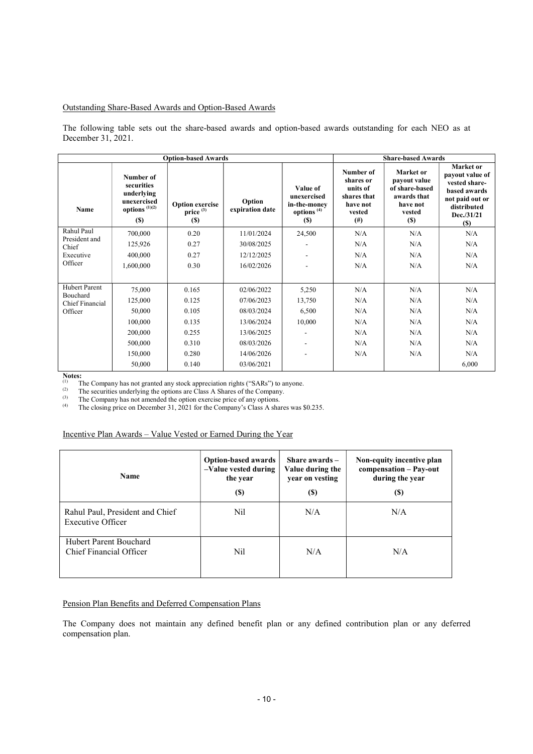## Outstanding Share-Based Awards and Option-Based Awards

The following table sets out the share-based awards and option-based awards outstanding for each NEO as at December 31, 2021.

|                                    |                                                                                        | <b>Option-based Awards</b>                            | <b>Share-based Awards</b> |                                                                                 |                                                                                     |                                                                                                 |                                                                                                                             |
|------------------------------------|----------------------------------------------------------------------------------------|-------------------------------------------------------|---------------------------|---------------------------------------------------------------------------------|-------------------------------------------------------------------------------------|-------------------------------------------------------------------------------------------------|-----------------------------------------------------------------------------------------------------------------------------|
| <b>Name</b>                        | Number of<br>securities<br>underlying<br>unexercised<br>options $(1)(2)$<br><b>(S)</b> | <b>Option exercise</b><br>price <sup>(3)</sup><br>(S) | Option<br>expiration date | Value of<br>unexercised<br>in-the-money<br>options <sup>(4)</sup><br><b>(S)</b> | Number of<br>shares or<br>units of<br>shares that<br>have not<br>vested<br>$^{(#)}$ | Market or<br>payout value<br>of share-based<br>awards that<br>have not<br>vested<br><b>(\$)</b> | Market or<br>payout value of<br>vested share-<br>based awards<br>not paid out or<br>distributed<br>Dec./31/21<br><b>(S)</b> |
| Rahul Paul                         | 700,000                                                                                | 0.20                                                  | 11/01/2024                | 24,500                                                                          | N/A                                                                                 | N/A                                                                                             | N/A                                                                                                                         |
| President and<br>Chief             | 125,926                                                                                | 0.27                                                  | 30/08/2025                |                                                                                 | N/A                                                                                 | N/A                                                                                             | N/A                                                                                                                         |
| Executive                          | 400,000                                                                                | 0.27                                                  | 12/12/2025                |                                                                                 | N/A                                                                                 | N/A                                                                                             | N/A                                                                                                                         |
| Officer                            | 1,600,000                                                                              | 0.30                                                  | 16/02/2026                |                                                                                 | N/A                                                                                 | N/A                                                                                             | N/A                                                                                                                         |
|                                    |                                                                                        |                                                       |                           |                                                                                 |                                                                                     |                                                                                                 |                                                                                                                             |
| <b>Hubert Parent</b>               | 75,000                                                                                 | 0.165                                                 | 02/06/2022                | 5,250                                                                           | N/A                                                                                 | N/A                                                                                             | N/A                                                                                                                         |
| Bouchard<br><b>Chief Financial</b> | 125,000                                                                                | 0.125                                                 | 07/06/2023                | 13,750                                                                          | N/A                                                                                 | N/A                                                                                             | N/A                                                                                                                         |
| Officer                            | 50,000                                                                                 | 0.105                                                 | 08/03/2024                | 6,500                                                                           | N/A                                                                                 | N/A                                                                                             | N/A                                                                                                                         |
|                                    | 100,000                                                                                | 0.135                                                 | 13/06/2024                | 10,000                                                                          | N/A                                                                                 | N/A                                                                                             | N/A                                                                                                                         |
|                                    | 200,000                                                                                | 0.255                                                 | 13/06/2025                | ٠                                                                               | N/A                                                                                 | N/A                                                                                             | N/A                                                                                                                         |
|                                    | 500,000                                                                                | 0.310                                                 | 08/03/2026                | $\overline{\phantom{a}}$                                                        | N/A                                                                                 | N/A                                                                                             | N/A                                                                                                                         |
|                                    | 150,000                                                                                | 0.280                                                 | 14/06/2026                | ٠                                                                               | N/A                                                                                 | N/A                                                                                             | N/A                                                                                                                         |
|                                    | 50,000                                                                                 | 0.140                                                 | 03/06/2021                |                                                                                 |                                                                                     |                                                                                                 | 6,000                                                                                                                       |

 $\frac{\text{Notes:}}{\text{N0}}$ 

(1) The Company has not granted any stock appreciation rights ("SARs") to anyone.<br>
(2) The securities underlying the options are Class A Shares of the Company

(2) The securities underlying the options are Class A Shares of the Company.<br>
The Company has not amended the option exercise price of any options

(3) The Company has not amended the option exercise price of any options.<br>
(4) The closing price on December 31, 2021 for the Company's Closs A sha

The closing price on December 31, 2021 for the Company's Class A shares was \$0.235.

## Incentive Plan Awards – Value Vested or Earned During the Year

| <b>Name</b>                                          | <b>Option-based awards</b><br>-Value vested during<br>the year<br><b>(\$)</b> | Share awards $-$<br>Value during the<br>year on vesting<br>(\$) | Non-equity incentive plan<br>compensation - Pay-out<br>during the year<br><b>(S)</b> |
|------------------------------------------------------|-------------------------------------------------------------------------------|-----------------------------------------------------------------|--------------------------------------------------------------------------------------|
| Rahul Paul, President and Chief<br>Executive Officer | Nil                                                                           | N/A                                                             | N/A                                                                                  |
| Hubert Parent Bouchard<br>Chief Financial Officer    | Nil                                                                           | N/A                                                             | N/A                                                                                  |

# Pension Plan Benefits and Deferred Compensation Plans

The Company does not maintain any defined benefit plan or any defined contribution plan or any deferred compensation plan.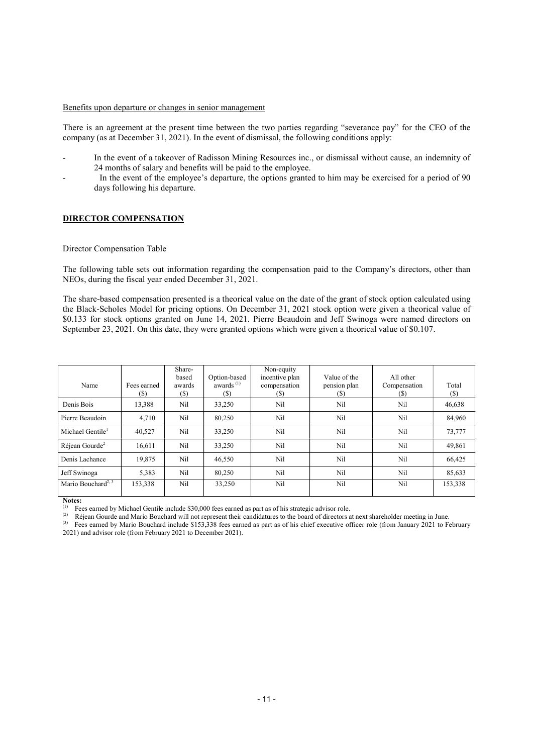#### Benefits upon departure or changes in senior management

There is an agreement at the present time between the two parties regarding "severance pay" for the CEO of the company (as at December 31, 2021). In the event of dismissal, the following conditions apply:

- In the event of a takeover of Radisson Mining Resources inc., or dismissal without cause, an indemnity of 24 months of salary and benefits will be paid to the employee.
- In the event of the employee's departure, the options granted to him may be exercised for a period of 90 days following his departure.

## DIRECTOR COMPENSATION

## Director Compensation Table

The following table sets out information regarding the compensation paid to the Company's directors, other than NEOs, during the fiscal year ended December 31, 2021.

The share-based compensation presented is a theorical value on the date of the grant of stock option calculated using the Black-Scholes Model for pricing options. On December 31, 2021 stock option were given a theorical value of \$0.133 for stock options granted on June 14, 2021. Pierre Beaudoin and Jeff Swinoga were named directors on September 23, 2021. On this date, they were granted options which were given a theorical value of \$0.107.

| Name                           | Fees earned<br>(S) | Share-<br>based<br>awards<br>$(\$\)$ | Option-based<br>awards $(1)$<br>(\$) | Non-equity<br>incentive plan<br>compensation<br>(S) | Value of the<br>pension plan<br>(S) | All other<br>Compensation<br>(S) | Total<br>(S) |
|--------------------------------|--------------------|--------------------------------------|--------------------------------------|-----------------------------------------------------|-------------------------------------|----------------------------------|--------------|
| Denis Bois                     | 13,388             | Nil                                  | 33,250                               | Nil                                                 | Nil                                 | Nil                              | 46,638       |
| Pierre Beaudoin                | 4,710              | Nil                                  | 80,250                               | Nil                                                 | Nil                                 | Nil                              | 84,960       |
| Michael Gentile <sup>1</sup>   | 40.527             | Nil                                  | 33,250                               | Nil                                                 | Nil                                 | Nil                              | 73,777       |
| Réjean Gourde <sup>2</sup>     | 16,611             | Nil                                  | 33,250                               | Nil                                                 | Nil                                 | Nil                              | 49,861       |
| Denis Lachance                 | 19,875             | Nil                                  | 46,550                               | Nil                                                 | Nil                                 | Nil                              | 66,425       |
| Jeff Swinoga                   | 5,383              | Nil                                  | 80.250                               | Nil                                                 | Nil                                 | Nil                              | 85,633       |
| Mario Bouchard <sup>2, 3</sup> | 153,338            | Nil                                  | 33,250                               | Nil                                                 | Nil                                 | Nil                              | 153,338      |

Notes:

Fees earned by Michael Gentile include \$30,000 fees earned as part as of his strategic advisor role.

(2) Réjean Gourde and Mario Bouchard will not represent their candidatures to the board of directors at next shareholder meeting in June.

(3) Fees earned by Mario Bouchard include \$153,338 fees earned as part as of his chief executive officer role (from January 2021 to February 2021) and advisor role (from February 2021 to December 2021).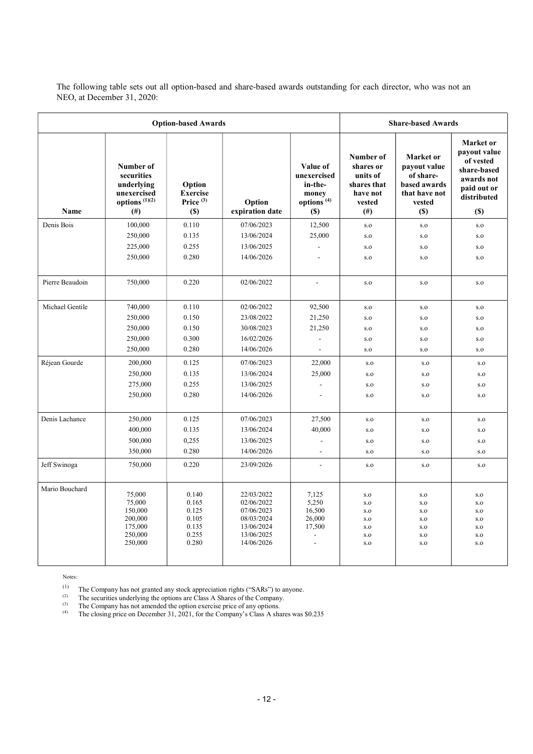The following table sets out all option-based and share-based awards outstanding for each director, who was not an NEO, at December 31, 2020:

| <b>Option-based Awards</b> |                                                                                      |                                                             |                                                                                                |                                                                              |                                                                                     | <b>Share-based Awards</b>                                                                       |                                                                                                          |  |  |
|----------------------------|--------------------------------------------------------------------------------------|-------------------------------------------------------------|------------------------------------------------------------------------------------------------|------------------------------------------------------------------------------|-------------------------------------------------------------------------------------|-------------------------------------------------------------------------------------------------|----------------------------------------------------------------------------------------------------------|--|--|
| <b>Name</b>                | Number of<br>securities<br>underlying<br>unexercised<br>options $(1)(2)$<br>$^{(#)}$ | Option<br><b>Exercise</b><br>Price $(3)$<br><b>(\$)</b>     | Option<br>expiration date                                                                      | Value of<br>unexercised<br>in-the-<br>money<br>options <sup>(4)</sup><br>(S) | Number of<br>shares or<br>units of<br>shares that<br>have not<br>vested<br>$^{(#)}$ | Market or<br>payout value<br>of share-<br>based awards<br>that have not<br>vested<br><b>(S)</b> | Market or<br>payout value<br>of vested<br>share-based<br>awards not<br>paid out or<br>distributed<br>(S) |  |  |
| Denis Bois                 | 100,000                                                                              | 0.110                                                       | 07/06/2023                                                                                     | 12,500                                                                       | S.O                                                                                 | s.o                                                                                             | S.O                                                                                                      |  |  |
|                            | 250,000                                                                              | 0.135                                                       | 13/06/2024                                                                                     | 25,000                                                                       | $_{\rm S.O}$                                                                        | S.O                                                                                             | S.O                                                                                                      |  |  |
|                            | 225,000                                                                              | 0.255                                                       | 13/06/2025                                                                                     |                                                                              | S.O                                                                                 | S.O                                                                                             | $\mathbf{S.}\mathbf{O}$                                                                                  |  |  |
|                            | 250,000                                                                              | 0.280                                                       | 14/06/2026                                                                                     | $\sim$                                                                       | S.O                                                                                 | S.O                                                                                             | S.O                                                                                                      |  |  |
|                            |                                                                                      |                                                             |                                                                                                |                                                                              |                                                                                     |                                                                                                 |                                                                                                          |  |  |
| Pierre Beaudoin            | 750,000                                                                              | 0.220                                                       | 02/06/2022                                                                                     | $\blacksquare$                                                               | $\mathbf{s}.\mathbf{o}$                                                             | S.O                                                                                             | S.O                                                                                                      |  |  |
| Michael Gentile            | 740,000                                                                              | 0.110                                                       | 02/06/2022                                                                                     | 92,500                                                                       | $\mathbf{s}.\mathbf{o}$                                                             | S.O                                                                                             | S.O                                                                                                      |  |  |
|                            | 250,000                                                                              | 0.150                                                       | 23/08/2022                                                                                     | 21,250                                                                       | S.O                                                                                 | S.O                                                                                             | S.O                                                                                                      |  |  |
|                            | 250,000                                                                              | 0.150                                                       | 30/08/2023                                                                                     | 21,250                                                                       | S.O                                                                                 | S.O                                                                                             | S.O                                                                                                      |  |  |
|                            | 250,000                                                                              | 0.300                                                       | 16/02/2026                                                                                     |                                                                              | S.O                                                                                 | S.O                                                                                             | S.O                                                                                                      |  |  |
|                            | 250,000                                                                              | 0.280                                                       | 14/06/2026                                                                                     |                                                                              | S.O                                                                                 | S.O                                                                                             | S.O                                                                                                      |  |  |
| Réjean Gourde              | 200,000                                                                              | 0.125                                                       | 07/06/2023                                                                                     | 22,000                                                                       | S.O                                                                                 | S.O                                                                                             | S.O                                                                                                      |  |  |
|                            | 250,000                                                                              | 0.135                                                       | 13/06/2024                                                                                     | 25,000                                                                       | S.O                                                                                 | S.O                                                                                             | S.O                                                                                                      |  |  |
|                            | 275,000                                                                              | 0.255                                                       | 13/06/2025                                                                                     |                                                                              | S.O                                                                                 | $_{\rm S.O}$                                                                                    | $_{\rm S.O}$                                                                                             |  |  |
|                            | 250,000                                                                              | 0.280                                                       | 14/06/2026                                                                                     | $\overline{a}$                                                               | S.O                                                                                 | S.O                                                                                             | $\mathbf{S.}\mathbf{O}$                                                                                  |  |  |
|                            |                                                                                      |                                                             |                                                                                                |                                                                              |                                                                                     |                                                                                                 |                                                                                                          |  |  |
| Denis Lachance             | 250,000                                                                              | 0.125                                                       | 07/06/2023                                                                                     | 27,500                                                                       | S.O                                                                                 | S.O                                                                                             | $\mathbf{S.}\mathbf{O}$                                                                                  |  |  |
|                            | 400,000                                                                              | 0.135                                                       | 13/06/2024                                                                                     | 40,000                                                                       | S.O                                                                                 | S.O                                                                                             | S.O                                                                                                      |  |  |
|                            | 500,000                                                                              | 0,255                                                       | 13/06/2025                                                                                     |                                                                              | S.O                                                                                 | $_{\rm S.O}$                                                                                    | S.O                                                                                                      |  |  |
|                            | 350,000                                                                              | 0.280                                                       | 14/06/2026                                                                                     | $\overline{a}$                                                               | S.O                                                                                 | S.O                                                                                             | S.O                                                                                                      |  |  |
| Jeff Swinoga               | 750,000                                                                              | 0.220                                                       | 23/09/2026                                                                                     | $\overline{a}$                                                               | S.O                                                                                 | S.O                                                                                             | S.O                                                                                                      |  |  |
| Mario Bouchard             | 75,000<br>75,000<br>150,000<br>200,000<br>175,000<br>250,000<br>250,000              | 0.140<br>0.165<br>0.125<br>0.105<br>0.135<br>0.255<br>0.280 | 22/03/2022<br>02/06/2022<br>07/06/2023<br>08/03/2024<br>13/06/2024<br>13/06/2025<br>14/06/2026 | 7,125<br>5,250<br>16,500<br>26,000<br>17,500<br>$\overline{\phantom{a}}$     | S.O<br>S.O<br>S.O<br>S.O<br>S.O<br>S.O<br>S.O                                       | S.O<br>S.O<br>S.O<br>S.O<br>S.O<br>S.O<br>S.O                                                   | S.O<br>$\mathbf{S.}\mathbf{O}$<br>S.O<br>S.O<br>S.O<br>S.O<br>S.O                                        |  |  |

Notes:

 $(1)$  The Company has not granted any stock appreciation rights ("SARs") to anyone.

 $(2)$  The securities underlying the options are Class A Shares of the Company.

<sup>(3)</sup> The Company has not amended the option exercise price of any options.

<sup>(4)</sup> The closing price on December 31, 2021, for the Company's Class A shares was \$0.235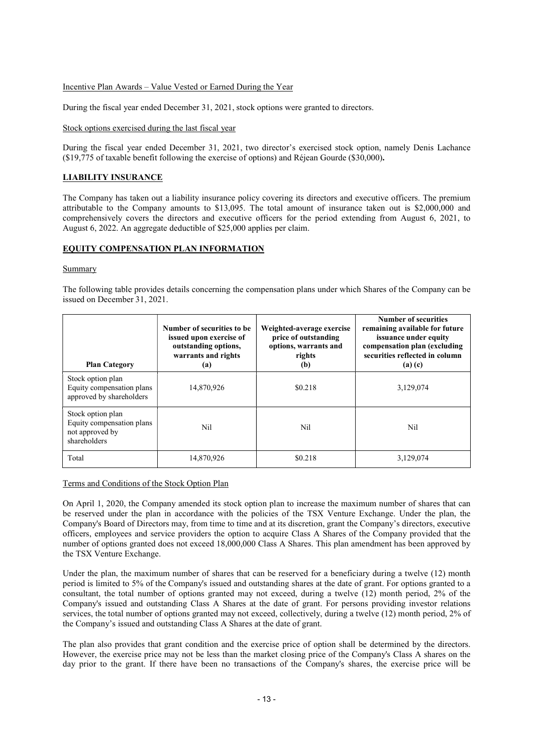## Incentive Plan Awards – Value Vested or Earned During the Year

During the fiscal year ended December 31, 2021, stock options were granted to directors.

## Stock options exercised during the last fiscal year

During the fiscal year ended December 31, 2021, two director's exercised stock option, namely Denis Lachance (\$19,775 of taxable benefit following the exercise of options) and Réjean Gourde (\$30,000).

## LIABILITY INSURANCE

The Company has taken out a liability insurance policy covering its directors and executive officers. The premium attributable to the Company amounts to \$13,095. The total amount of insurance taken out is \$2,000,000 and comprehensively covers the directors and executive officers for the period extending from August 6, 2021, to August 6, 2022. An aggregate deductible of \$25,000 applies per claim.

## EQUITY COMPENSATION PLAN INFORMATION

## **Summary**

The following table provides details concerning the compensation plans under which Shares of the Company can be issued on December 31, 2021.

| <b>Plan Category</b>                                                              | Number of securities to be<br>issued upon exercise of<br>outstanding options,<br>warrants and rights<br>(a) | Weighted-average exercise<br>price of outstanding<br>options, warrants and<br>rights<br>(b) | Number of securities<br>remaining available for future<br>issuance under equity<br>compensation plan (excluding<br>securities reflected in column<br>(a)(c) |
|-----------------------------------------------------------------------------------|-------------------------------------------------------------------------------------------------------------|---------------------------------------------------------------------------------------------|-------------------------------------------------------------------------------------------------------------------------------------------------------------|
| Stock option plan<br>Equity compensation plans<br>approved by shareholders        | 14,870,926                                                                                                  | \$0.218                                                                                     | 3,129,074                                                                                                                                                   |
| Stock option plan<br>Equity compensation plans<br>not approved by<br>shareholders | Nil                                                                                                         | Nil                                                                                         | Nil                                                                                                                                                         |
| Total                                                                             | 14,870,926                                                                                                  | \$0.218                                                                                     | 3.129.074                                                                                                                                                   |

## Terms and Conditions of the Stock Option Plan

On April 1, 2020, the Company amended its stock option plan to increase the maximum number of shares that can be reserved under the plan in accordance with the policies of the TSX Venture Exchange. Under the plan, the Company's Board of Directors may, from time to time and at its discretion, grant the Company's directors, executive officers, employees and service providers the option to acquire Class A Shares of the Company provided that the number of options granted does not exceed 18,000,000 Class A Shares. This plan amendment has been approved by the TSX Venture Exchange.

Under the plan, the maximum number of shares that can be reserved for a beneficiary during a twelve (12) month period is limited to 5% of the Company's issued and outstanding shares at the date of grant. For options granted to a consultant, the total number of options granted may not exceed, during a twelve (12) month period, 2% of the Company's issued and outstanding Class A Shares at the date of grant. For persons providing investor relations services, the total number of options granted may not exceed, collectively, during a twelve (12) month period, 2% of the Company's issued and outstanding Class A Shares at the date of grant.

The plan also provides that grant condition and the exercise price of option shall be determined by the directors. However, the exercise price may not be less than the market closing price of the Company's Class A shares on the day prior to the grant. If there have been no transactions of the Company's shares, the exercise price will be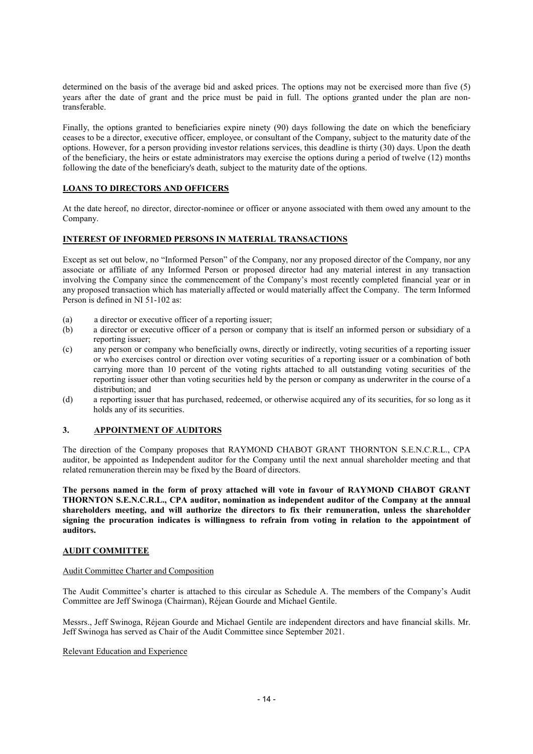determined on the basis of the average bid and asked prices. The options may not be exercised more than five (5) years after the date of grant and the price must be paid in full. The options granted under the plan are nontransferable.

Finally, the options granted to beneficiaries expire ninety (90) days following the date on which the beneficiary ceases to be a director, executive officer, employee, or consultant of the Company, subject to the maturity date of the options. However, for a person providing investor relations services, this deadline is thirty (30) days. Upon the death of the beneficiary, the heirs or estate administrators may exercise the options during a period of twelve (12) months following the date of the beneficiary's death, subject to the maturity date of the options.

# LOANS TO DIRECTORS AND OFFICERS

At the date hereof, no director, director-nominee or officer or anyone associated with them owed any amount to the Company.

## INTEREST OF INFORMED PERSONS IN MATERIAL TRANSACTIONS

Except as set out below, no "Informed Person" of the Company, nor any proposed director of the Company, nor any associate or affiliate of any Informed Person or proposed director had any material interest in any transaction involving the Company since the commencement of the Company's most recently completed financial year or in any proposed transaction which has materially affected or would materially affect the Company. The term Informed Person is defined in NI 51-102 as:

- (a) a director or executive officer of a reporting issuer;
- (b) a director or executive officer of a person or company that is itself an informed person or subsidiary of a reporting issuer;
- (c) any person or company who beneficially owns, directly or indirectly, voting securities of a reporting issuer or who exercises control or direction over voting securities of a reporting issuer or a combination of both carrying more than 10 percent of the voting rights attached to all outstanding voting securities of the reporting issuer other than voting securities held by the person or company as underwriter in the course of a distribution; and
- (d) a reporting issuer that has purchased, redeemed, or otherwise acquired any of its securities, for so long as it holds any of its securities.

## 3. APPOINTMENT OF AUDITORS

The direction of the Company proposes that RAYMOND CHABOT GRANT THORNTON S.E.N.C.R.L., CPA auditor, be appointed as Independent auditor for the Company until the next annual shareholder meeting and that related remuneration therein may be fixed by the Board of directors.

The persons named in the form of proxy attached will vote in favour of RAYMOND CHABOT GRANT THORNTON S.E.N.C.R.L., CPA auditor, nomination as independent auditor of the Company at the annual shareholders meeting, and will authorize the directors to fix their remuneration, unless the shareholder signing the procuration indicates is willingness to refrain from voting in relation to the appointment of auditors.

## AUDIT COMMITTEE

## Audit Committee Charter and Composition

The Audit Committee's charter is attached to this circular as Schedule A. The members of the Company's Audit Committee are Jeff Swinoga (Chairman), Réjean Gourde and Michael Gentile.

Messrs., Jeff Swinoga, Réjean Gourde and Michael Gentile are independent directors and have financial skills. Mr. Jeff Swinoga has served as Chair of the Audit Committee since September 2021.

## Relevant Education and Experience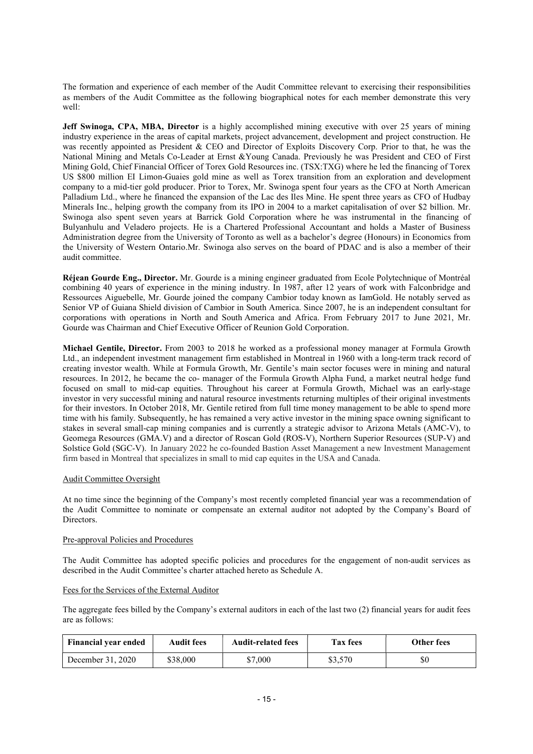The formation and experience of each member of the Audit Committee relevant to exercising their responsibilities as members of the Audit Committee as the following biographical notes for each member demonstrate this very well:

Jeff Swinoga, CPA, MBA, Director is a highly accomplished mining executive with over 25 years of mining industry experience in the areas of capital markets, project advancement, development and project construction. He was recently appointed as President & CEO and Director of Exploits Discovery Corp. Prior to that, he was the National Mining and Metals Co-Leader at Ernst &Young Canada. Previously he was President and CEO of First Mining Gold, Chief Financial Officer of Torex Gold Resources inc. (TSX:TXG) where he led the financing of Torex US \$800 million EI Limon-Guaies gold mine as well as Torex transition from an exploration and development company to a mid-tier gold producer. Prior to Torex, Mr. Swinoga spent four years as the CFO at North American Palladium Ltd., where he financed the expansion of the Lac des Iles Mine. He spent three years as CFO of Hudbay Minerals Inc., helping growth the company from its IPO in 2004 to a market capitalisation of over \$2 billion. Mr. Swinoga also spent seven years at Barrick Gold Corporation where he was instrumental in the financing of Bulyanhulu and Veladero projects. He is a Chartered Professional Accountant and holds a Master of Business Administration degree from the University of Toronto as well as a bachelor's degree (Honours) in Economics from the University of Western Ontario.Mr. Swinoga also serves on the board of PDAC and is also a member of their audit committee.

Réjean Gourde Eng., Director. Mr. Gourde is a mining engineer graduated from Ecole Polytechnique of Montréal combining 40 years of experience in the mining industry. In 1987, after 12 years of work with Falconbridge and Ressources Aiguebelle, Mr. Gourde joined the company Cambior today known as IamGold. He notably served as Senior VP of Guiana Shield division of Cambior in South America. Since 2007, he is an independent consultant for corporations with operations in North and South America and Africa. From February 2017 to June 2021, Mr. Gourde was Chairman and Chief Executive Officer of Reunion Gold Corporation.

Michael Gentile, Director. From 2003 to 2018 he worked as a professional money manager at Formula Growth Ltd., an independent investment management firm established in Montreal in 1960 with a long-term track record of creating investor wealth. While at Formula Growth, Mr. Gentile's main sector focuses were in mining and natural resources. In 2012, he became the co- manager of the Formula Growth Alpha Fund, a market neutral hedge fund focused on small to mid-cap equities. Throughout his career at Formula Growth, Michael was an early-stage investor in very successful mining and natural resource investments returning multiples of their original investments for their investors. In October 2018, Mr. Gentile retired from full time money management to be able to spend more time with his family. Subsequently, he has remained a very active investor in the mining space owning significant to stakes in several small-cap mining companies and is currently a strategic advisor to Arizona Metals (AMC-V), to Geomega Resources (GMA.V) and a director of Roscan Gold (ROS-V), Northern Superior Resources (SUP-V) and Solstice Gold (SGC-V). In January 2022 he co-founded Bastion Asset Management a new Investment Management firm based in Montreal that specializes in small to mid cap equites in the USA and Canada.

## Audit Committee Oversight

At no time since the beginning of the Company's most recently completed financial year was a recommendation of the Audit Committee to nominate or compensate an external auditor not adopted by the Company's Board of **Directors** 

## Pre-approval Policies and Procedures

The Audit Committee has adopted specific policies and procedures for the engagement of non-audit services as described in the Audit Committee's charter attached hereto as Schedule A.

## Fees for the Services of the External Auditor

The aggregate fees billed by the Company's external auditors in each of the last two (2) financial years for audit fees are as follows:

| <b>Financial year ended</b> | <b>Audit fees</b> | <b>Audit-related fees</b> | <b>Tax fees</b> | Other fees |
|-----------------------------|-------------------|---------------------------|-----------------|------------|
| December 31, 2020           | \$38,000          | \$7,000                   | \$3,570         | \$0        |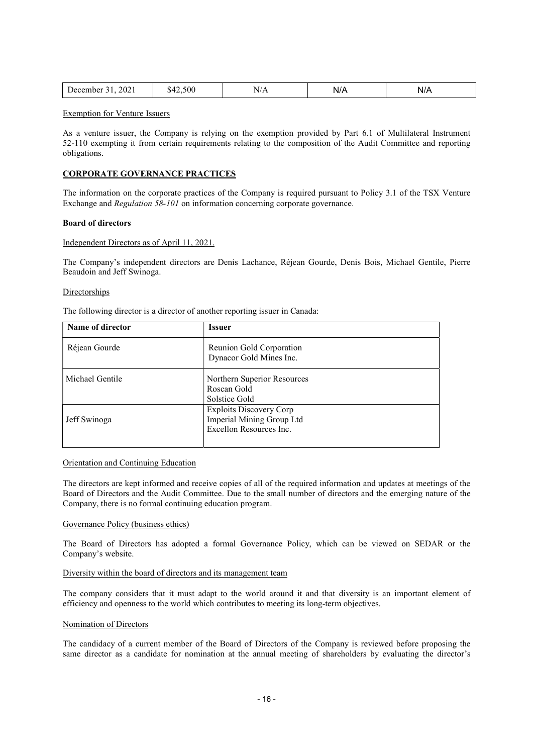| 2021<br>12.500<br>. Jecember | N/A | . .<br>N<br><b>177</b> | NI/A<br>17 L |
|------------------------------|-----|------------------------|--------------|
|------------------------------|-----|------------------------|--------------|

Exemption for Venture Issuers

As a venture issuer, the Company is relying on the exemption provided by Part 6.1 of Multilateral Instrument 52-110 exempting it from certain requirements relating to the composition of the Audit Committee and reporting obligations.

## CORPORATE GOVERNANCE PRACTICES

The information on the corporate practices of the Company is required pursuant to Policy 3.1 of the TSX Venture Exchange and *Regulation* 58-101 on information concerning corporate governance.

#### Board of directors

## Independent Directors as of April 11, 2021.

The Company's independent directors are Denis Lachance, Réjean Gourde, Denis Bois, Michael Gentile, Pierre Beaudoin and Jeff Swinoga.

## Directorships

The following director is a director of another reporting issuer in Canada:

| Name of director | <b>Issuer</b>                                                                          |
|------------------|----------------------------------------------------------------------------------------|
| Réjean Gourde    | Reunion Gold Corporation<br>Dynacor Gold Mines Inc.                                    |
| Michael Gentile  | Northern Superior Resources<br>Roscan Gold<br>Solstice Gold                            |
| Jeff Swinoga     | <b>Exploits Discovery Corp</b><br>Imperial Mining Group Ltd<br>Excellon Resources Inc. |

#### Orientation and Continuing Education

The directors are kept informed and receive copies of all of the required information and updates at meetings of the Board of Directors and the Audit Committee. Due to the small number of directors and the emerging nature of the Company, there is no formal continuing education program.

#### Governance Policy (business ethics)

The Board of Directors has adopted a formal Governance Policy, which can be viewed on SEDAR or the Company's website.

## Diversity within the board of directors and its management team

The company considers that it must adapt to the world around it and that diversity is an important element of efficiency and openness to the world which contributes to meeting its long-term objectives.

## Nomination of Directors

The candidacy of a current member of the Board of Directors of the Company is reviewed before proposing the same director as a candidate for nomination at the annual meeting of shareholders by evaluating the director's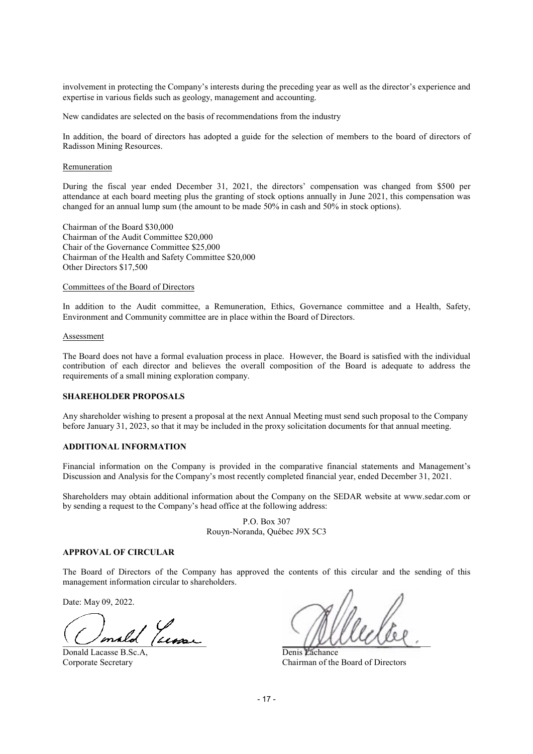involvement in protecting the Company's interests during the preceding year as well as the director's experience and expertise in various fields such as geology, management and accounting.

New candidates are selected on the basis of recommendations from the industry

In addition, the board of directors has adopted a guide for the selection of members to the board of directors of Radisson Mining Resources.

#### **Remuneration**

During the fiscal year ended December 31, 2021, the directors' compensation was changed from \$500 per attendance at each board meeting plus the granting of stock options annually in June 2021, this compensation was changed for an annual lump sum (the amount to be made 50% in cash and 50% in stock options).

Chairman of the Board \$30,000 Chairman of the Audit Committee \$20,000 Chair of the Governance Committee \$25,000 Chairman of the Health and Safety Committee \$20,000 Other Directors \$17,500

#### Committees of the Board of Directors

In addition to the Audit committee, a Remuneration, Ethics, Governance committee and a Health, Safety, Environment and Community committee are in place within the Board of Directors.

#### Assessment

The Board does not have a formal evaluation process in place. However, the Board is satisfied with the individual contribution of each director and believes the overall composition of the Board is adequate to address the requirements of a small mining exploration company.

## SHAREHOLDER PROPOSALS

Any shareholder wishing to present a proposal at the next Annual Meeting must send such proposal to the Company before January 31, 2023, so that it may be included in the proxy solicitation documents for that annual meeting.

## ADDITIONAL INFORMATION

Financial information on the Company is provided in the comparative financial statements and Management's Discussion and Analysis for the Company's most recently completed financial year, ended December 31, 2021.

Shareholders may obtain additional information about the Company on the SEDAR website at www.sedar.com or by sending a request to the Company's head office at the following address:

> P.O. Box 307 Rouyn-Noranda, Québec J9X 5C3

#### APPROVAL OF CIRCULAR

The Board of Directors of the Company has approved the contents of this circular and the sending of this management information circular to shareholders.

Date: May 09, 2022.

 $\sim$  music personal personal personal personal personal personal personal personal personal personal personal personal personal personal personal personal personal personal personal personal personal personal personal per

Donald Lacasse B.Sc.A, Denis Lachance

Corporate Secretary Chairman of the Board of Directors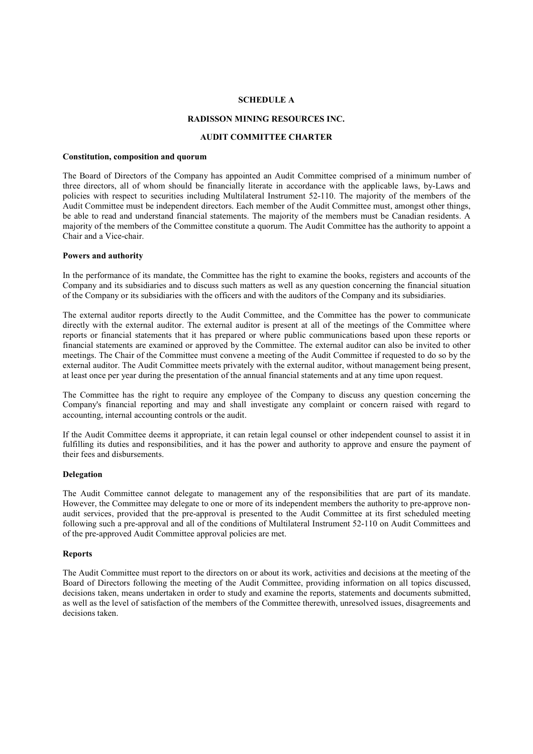## SCHEDULE A

## RADISSON MINING RESOURCES INC.

## AUDIT COMMITTEE CHARTER

#### Constitution, composition and quorum

The Board of Directors of the Company has appointed an Audit Committee comprised of a minimum number of three directors, all of whom should be financially literate in accordance with the applicable laws, by-Laws and policies with respect to securities including Multilateral Instrument 52-110. The majority of the members of the Audit Committee must be independent directors. Each member of the Audit Committee must, amongst other things, be able to read and understand financial statements. The majority of the members must be Canadian residents. A majority of the members of the Committee constitute a quorum. The Audit Committee has the authority to appoint a Chair and a Vice-chair.

#### Powers and authority

In the performance of its mandate, the Committee has the right to examine the books, registers and accounts of the Company and its subsidiaries and to discuss such matters as well as any question concerning the financial situation of the Company or its subsidiaries with the officers and with the auditors of the Company and its subsidiaries.

The external auditor reports directly to the Audit Committee, and the Committee has the power to communicate directly with the external auditor. The external auditor is present at all of the meetings of the Committee where reports or financial statements that it has prepared or where public communications based upon these reports or financial statements are examined or approved by the Committee. The external auditor can also be invited to other meetings. The Chair of the Committee must convene a meeting of the Audit Committee if requested to do so by the external auditor. The Audit Committee meets privately with the external auditor, without management being present, at least once per year during the presentation of the annual financial statements and at any time upon request.

The Committee has the right to require any employee of the Company to discuss any question concerning the Company's financial reporting and may and shall investigate any complaint or concern raised with regard to accounting, internal accounting controls or the audit.

If the Audit Committee deems it appropriate, it can retain legal counsel or other independent counsel to assist it in fulfilling its duties and responsibilities, and it has the power and authority to approve and ensure the payment of their fees and disbursements.

#### Delegation

The Audit Committee cannot delegate to management any of the responsibilities that are part of its mandate. However, the Committee may delegate to one or more of its independent members the authority to pre-approve nonaudit services, provided that the pre-approval is presented to the Audit Committee at its first scheduled meeting following such a pre-approval and all of the conditions of Multilateral Instrument 52-110 on Audit Committees and of the pre-approved Audit Committee approval policies are met.

#### Reports

The Audit Committee must report to the directors on or about its work, activities and decisions at the meeting of the Board of Directors following the meeting of the Audit Committee, providing information on all topics discussed, decisions taken, means undertaken in order to study and examine the reports, statements and documents submitted, as well as the level of satisfaction of the members of the Committee therewith, unresolved issues, disagreements and decisions taken.